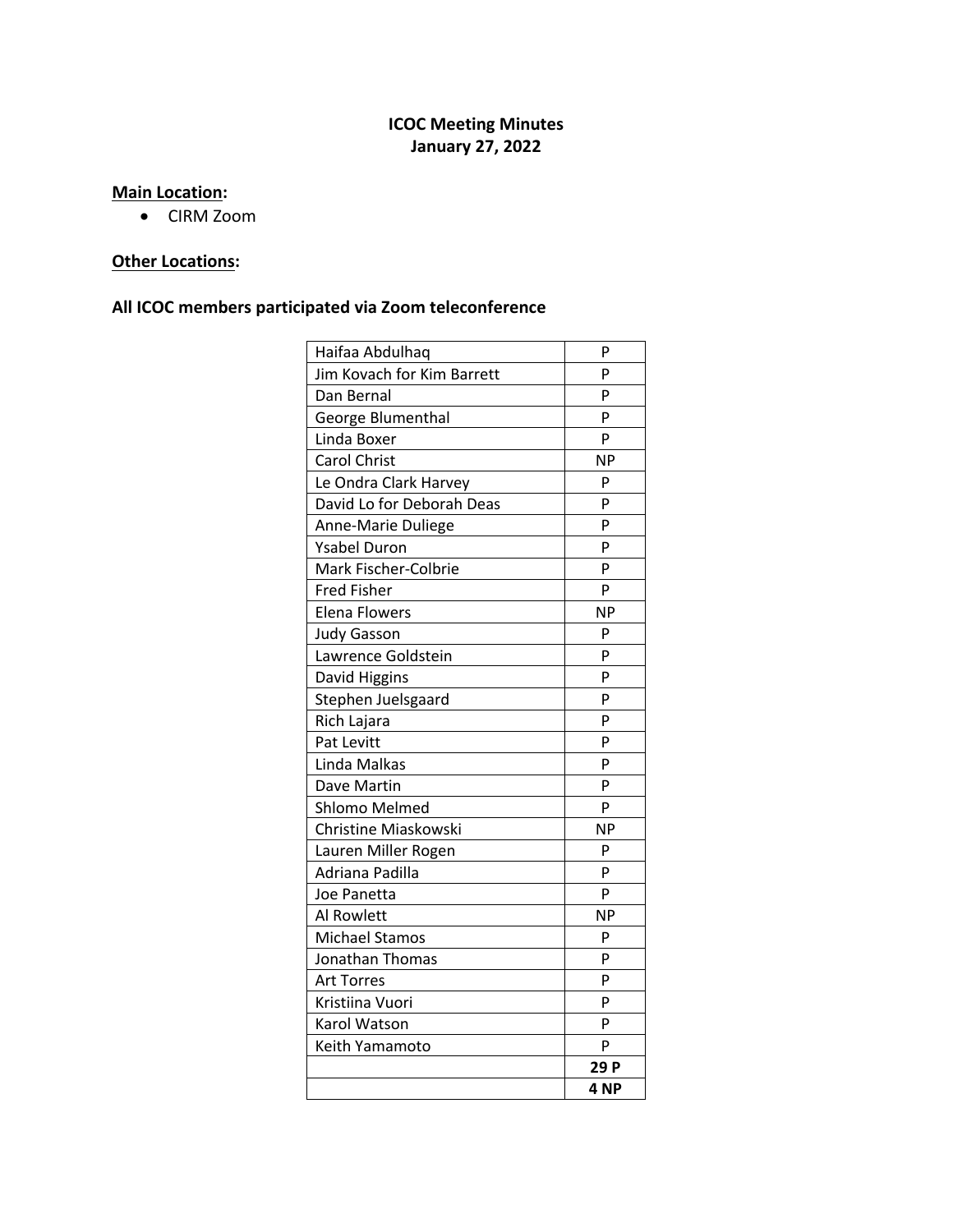# **ICOC Meeting Minutes January 27, 2022**

# **Main Location:**

• CIRM Zoom

# **Other Locations:**

# **All ICOC members participated via Zoom teleconference**

| Haifaa Abdulhaq            | P               |
|----------------------------|-----------------|
| Jim Kovach for Kim Barrett | P               |
| Dan Bernal                 | P               |
| George Blumenthal          | P               |
| Linda Boxer                | P               |
| <b>Carol Christ</b>        | <b>NP</b>       |
| Le Ondra Clark Harvey      | P               |
| David Lo for Deborah Deas  | P               |
| Anne-Marie Duliege         | P               |
| <b>Ysabel Duron</b>        | P               |
| Mark Fischer-Colbrie       | P               |
| <b>Fred Fisher</b>         | P               |
| <b>Elena Flowers</b>       | <b>NP</b>       |
| <b>Judy Gasson</b>         | P               |
| Lawrence Goldstein         | P               |
| David Higgins              | P               |
| Stephen Juelsgaard         | P               |
| Rich Lajara                | P               |
| Pat Levitt                 | P               |
| Linda Malkas               | P               |
| Dave Martin                | P               |
| Shlomo Melmed              | P               |
| Christine Miaskowski       | <b>NP</b>       |
| Lauren Miller Rogen        | P               |
| Adriana Padilla            | P               |
| Joe Panetta                | P               |
| <b>Al Rowlett</b>          | <b>NP</b>       |
| <b>Michael Stamos</b>      | P               |
| Jonathan Thomas            | P               |
| <b>Art Torres</b>          | P               |
| Kristiina Vuori            | P               |
| Karol Watson               | P               |
| Keith Yamamoto             | P               |
|                            | 29 P            |
|                            | 4 <sub>NP</sub> |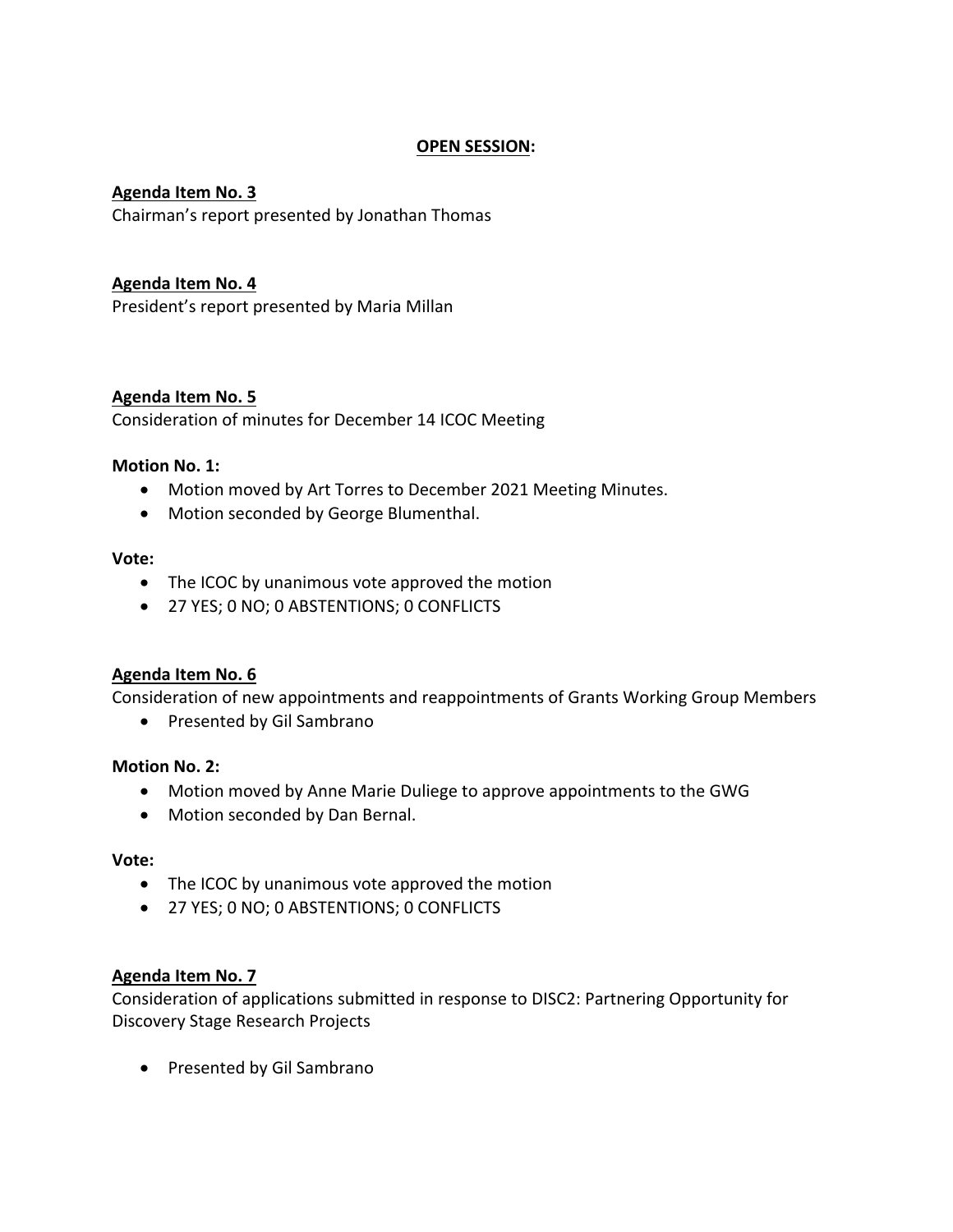## **OPEN SESSION:**

#### **Agenda Item No. 3** Chairman's report presented by Jonathan Thomas

## **Agenda Item No. 4**

President's report presented by Maria Millan

### **Agenda Item No. 5**

Consideration of minutes for December 14 ICOC Meeting

#### **Motion No. 1:**

- Motion moved by Art Torres to December 2021 Meeting Minutes.
- Motion seconded by George Blumenthal.

#### **Vote:**

- The ICOC by unanimous vote approved the motion
- 27 YES; 0 NO; 0 ABSTENTIONS; 0 CONFLICTS

### **Agenda Item No. 6**

Consideration of new appointments and reappointments of Grants Working Group Members

• Presented by Gil Sambrano

#### **Motion No. 2:**

- Motion moved by Anne Marie Duliege to approve appointments to the GWG
- Motion seconded by Dan Bernal.

#### **Vote:**

- The ICOC by unanimous vote approved the motion
- 27 YES; 0 NO; 0 ABSTENTIONS; 0 CONFLICTS

#### **Agenda Item No. 7**

Consideration of applications submitted in response to DISC2: Partnering Opportunity for Discovery Stage Research Projects

• Presented by Gil Sambrano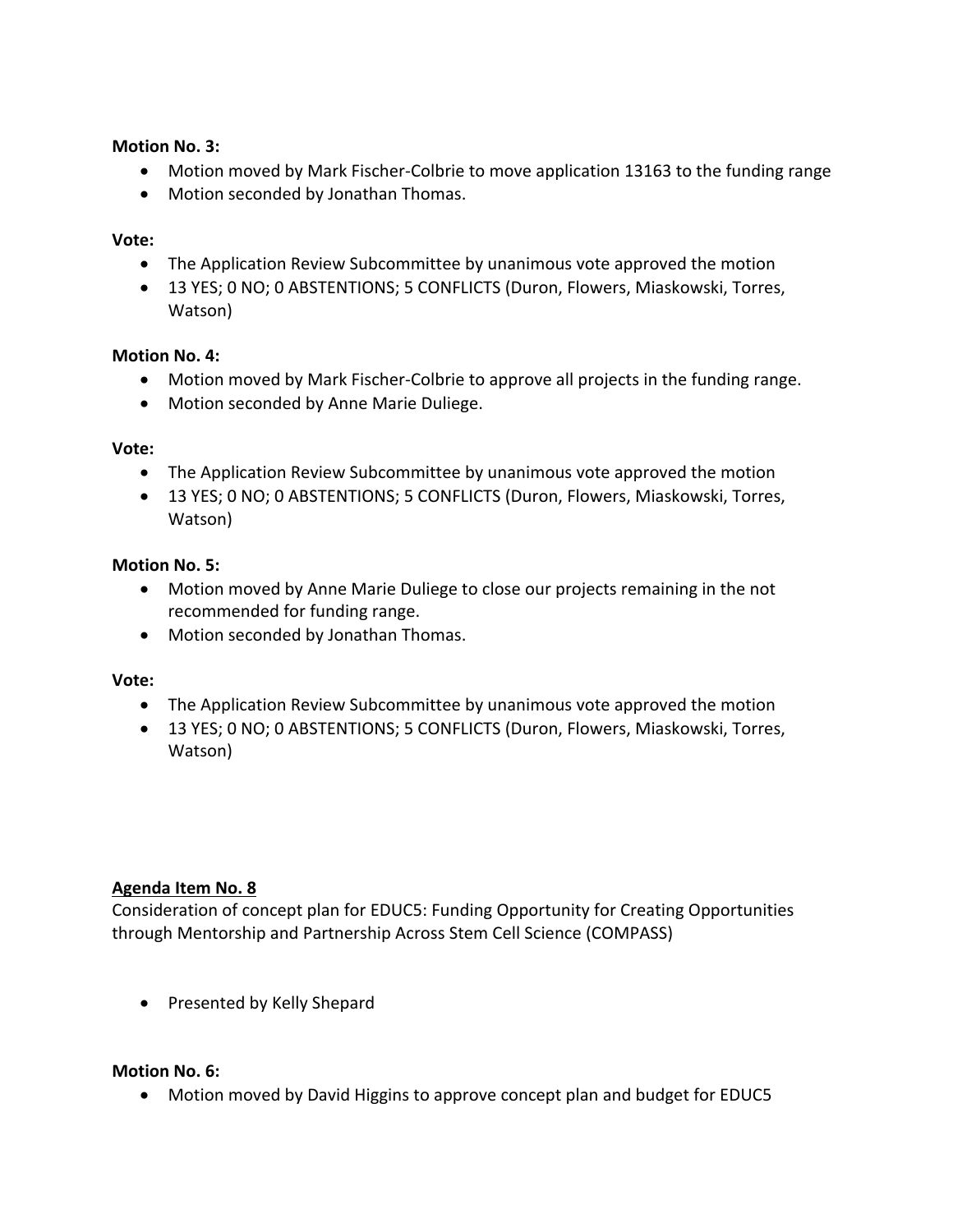## **Motion No. 3:**

- Motion moved by Mark Fischer-Colbrie to move application 13163 to the funding range
- Motion seconded by Jonathan Thomas.

## **Vote:**

- The Application Review Subcommittee by unanimous vote approved the motion
- 13 YES; 0 NO; 0 ABSTENTIONS; 5 CONFLICTS (Duron, Flowers, Miaskowski, Torres, Watson)

## **Motion No. 4:**

- Motion moved by Mark Fischer-Colbrie to approve all projects in the funding range.
- Motion seconded by Anne Marie Duliege.

## **Vote:**

- The Application Review Subcommittee by unanimous vote approved the motion
- 13 YES; 0 NO; 0 ABSTENTIONS; 5 CONFLICTS (Duron, Flowers, Miaskowski, Torres, Watson)

## **Motion No. 5:**

- Motion moved by Anne Marie Duliege to close our projects remaining in the not recommended for funding range.
- Motion seconded by Jonathan Thomas.

### **Vote:**

- The Application Review Subcommittee by unanimous vote approved the motion
- 13 YES; 0 NO; 0 ABSTENTIONS; 5 CONFLICTS (Duron, Flowers, Miaskowski, Torres, Watson)

### **Agenda Item No. 8**

Consideration of concept plan for EDUC5: Funding Opportunity for Creating Opportunities through Mentorship and Partnership Across Stem Cell Science (COMPASS)

• Presented by Kelly Shepard

### **Motion No. 6:**

• Motion moved by David Higgins to approve concept plan and budget for EDUC5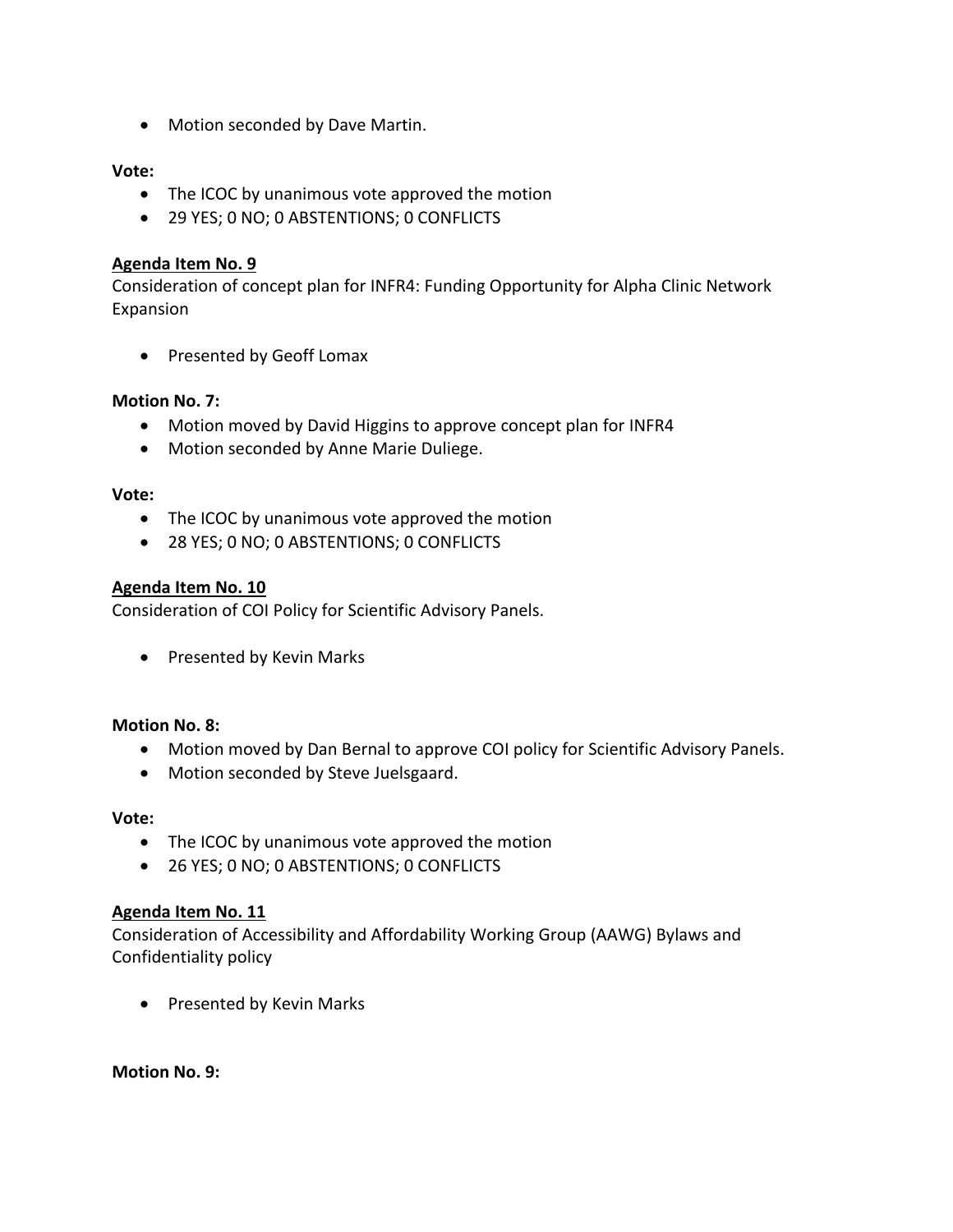• Motion seconded by Dave Martin.

## **Vote:**

- The ICOC by unanimous vote approved the motion
- 29 YES; 0 NO; 0 ABSTENTIONS; 0 CONFLICTS

### **Agenda Item No. 9**

Consideration of concept plan for INFR4: Funding Opportunity for Alpha Clinic Network Expansion

• Presented by Geoff Lomax

## **Motion No. 7:**

- Motion moved by David Higgins to approve concept plan for INFR4
- Motion seconded by Anne Marie Duliege.

### **Vote:**

- The ICOC by unanimous vote approved the motion
- 28 YES; 0 NO; 0 ABSTENTIONS; 0 CONFLICTS

### **Agenda Item No. 10**

Consideration of COI Policy for Scientific Advisory Panels.

• Presented by Kevin Marks

### **Motion No. 8:**

- Motion moved by Dan Bernal to approve COI policy for Scientific Advisory Panels.
- Motion seconded by Steve Juelsgaard.

#### **Vote:**

- The ICOC by unanimous vote approved the motion
- 26 YES; 0 NO; 0 ABSTENTIONS; 0 CONFLICTS

### **Agenda Item No. 11**

Consideration of Accessibility and Affordability Working Group (AAWG) Bylaws and Confidentiality policy

• Presented by Kevin Marks

**Motion No. 9:**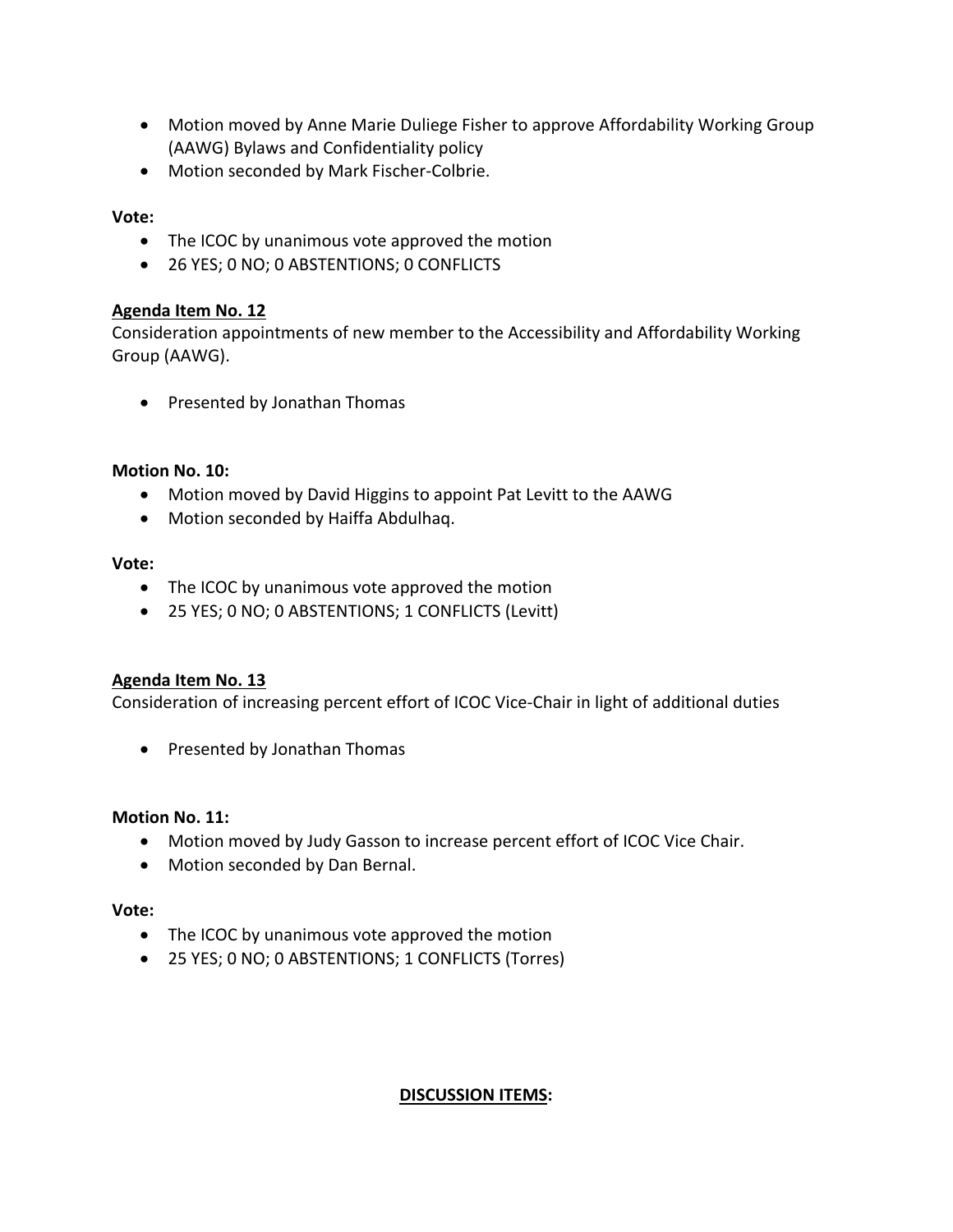- Motion moved by Anne Marie Duliege Fisher to approve Affordability Working Group (AAWG) Bylaws and Confidentiality policy
- Motion seconded by Mark Fischer-Colbrie.

## **Vote:**

- The ICOC by unanimous vote approved the motion
- 26 YES; 0 NO; 0 ABSTENTIONS; 0 CONFLICTS

### **Agenda Item No. 12**

Consideration appointments of new member to the Accessibility and Affordability Working Group (AAWG).

• Presented by Jonathan Thomas

### **Motion No. 10:**

- Motion moved by David Higgins to appoint Pat Levitt to the AAWG
- Motion seconded by Haiffa Abdulhaq.

#### **Vote:**

- The ICOC by unanimous vote approved the motion
- 25 YES; 0 NO; 0 ABSTENTIONS; 1 CONFLICTS (Levitt)

### **Agenda Item No. 13**

Consideration of increasing percent effort of ICOC Vice-Chair in light of additional duties

• Presented by Jonathan Thomas

### **Motion No. 11:**

- Motion moved by Judy Gasson to increase percent effort of ICOC Vice Chair.
- Motion seconded by Dan Bernal.

#### **Vote:**

- The ICOC by unanimous vote approved the motion
- 25 YES; 0 NO; 0 ABSTENTIONS; 1 CONFLICTS (Torres)

### **DISCUSSION ITEMS:**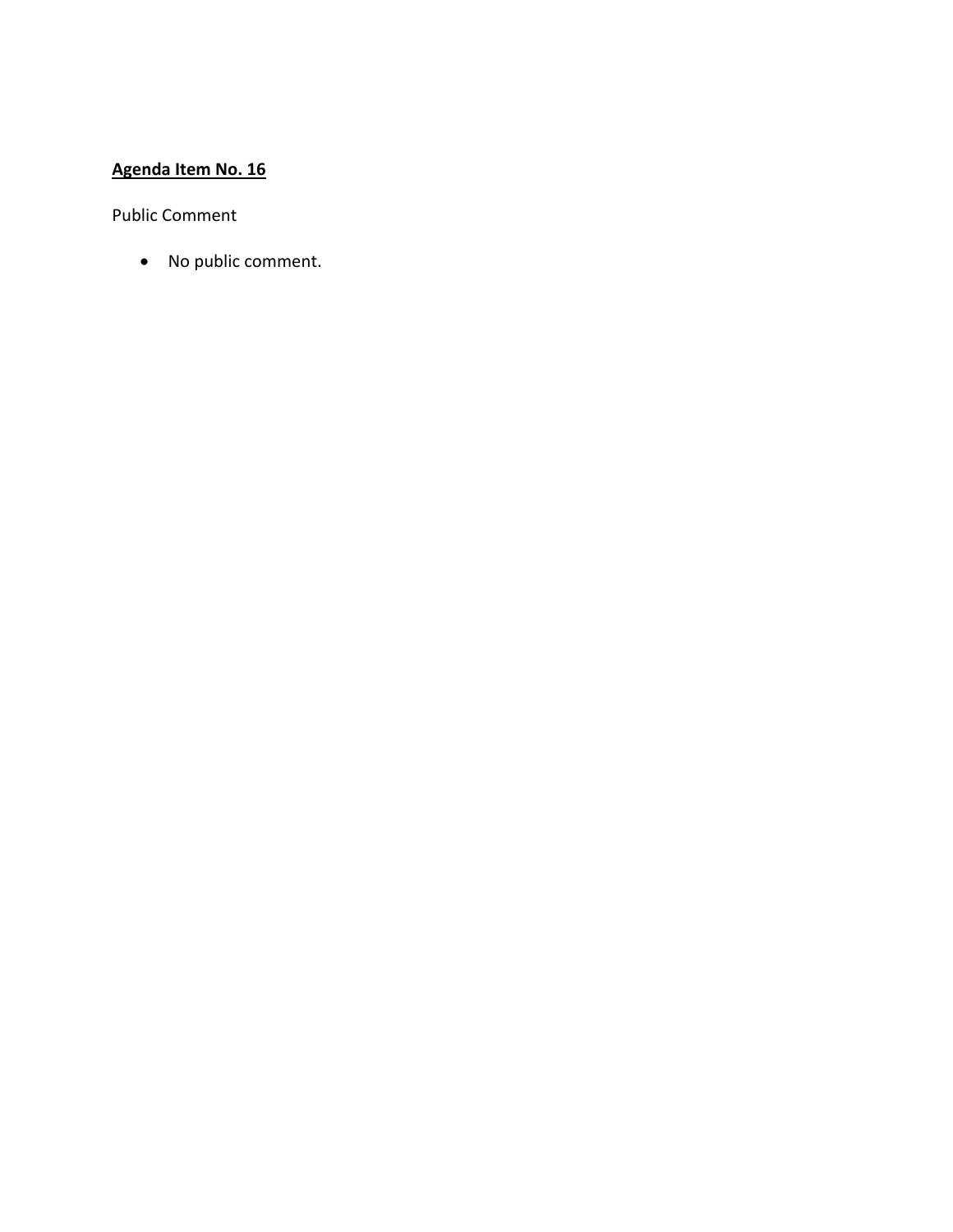# **Agenda Item No. 16**

Public Comment

• No public comment.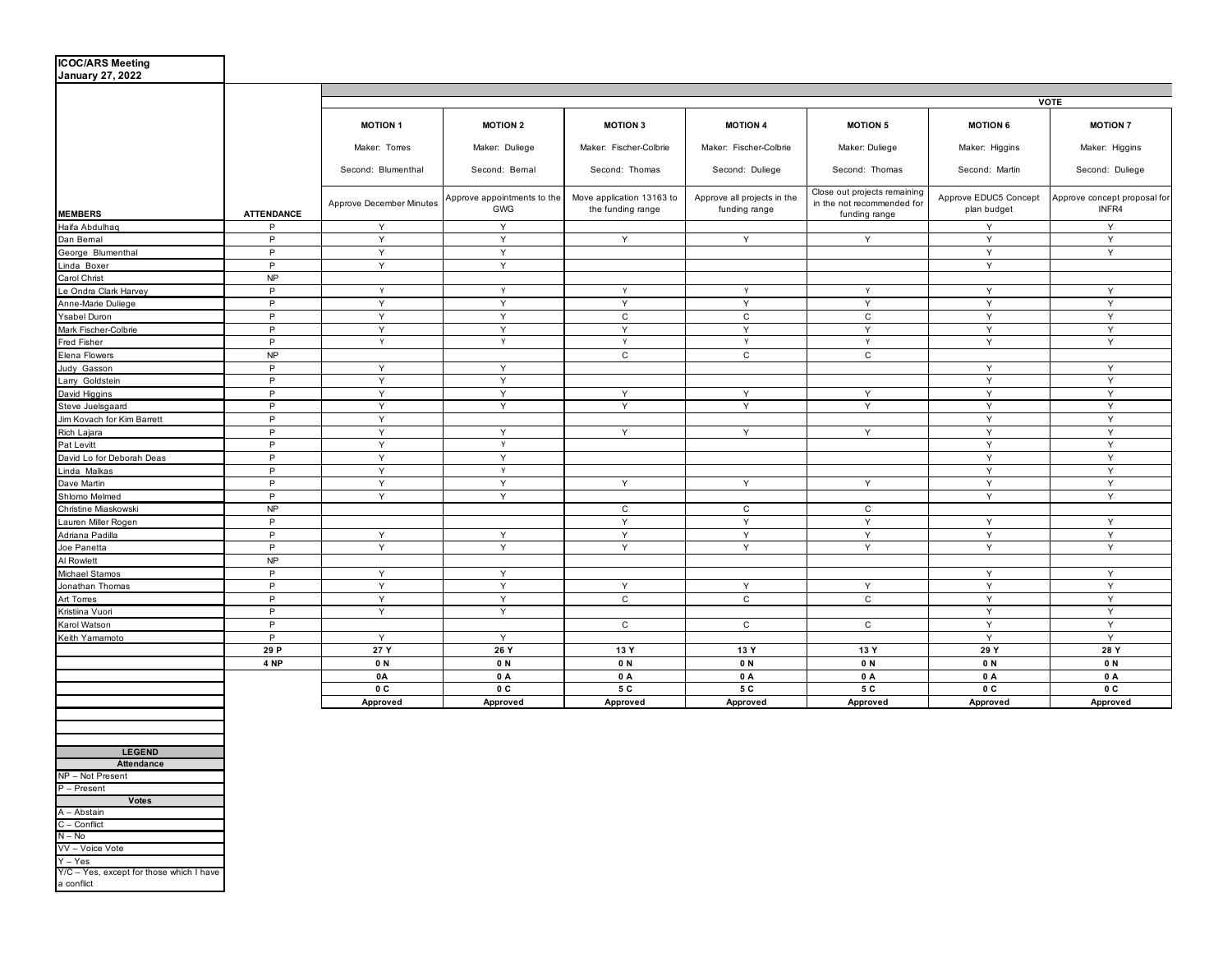| <b>ICOC/ARS Meeting</b><br><b>January 27, 2022</b> |                   |                          |                                    |                                                |                                              |                                                                             |                                      |                                       |
|----------------------------------------------------|-------------------|--------------------------|------------------------------------|------------------------------------------------|----------------------------------------------|-----------------------------------------------------------------------------|--------------------------------------|---------------------------------------|
|                                                    |                   |                          | <b>VOTE</b>                        |                                                |                                              |                                                                             |                                      |                                       |
|                                                    |                   | <b>MOTION 1</b>          | <b>MOTION 2</b>                    | <b>MOTION 3</b>                                | <b>MOTION 4</b>                              | <b>MOTION 5</b>                                                             | <b>MOTION 6</b>                      | <b>MOTION 7</b>                       |
|                                                    |                   | Maker: Torres            | Maker: Duliege                     | Maker: Fischer-Colbrie                         | Maker: Fischer-Colbrie                       | Maker: Duliege                                                              | Maker: Higgins                       | Maker: Higgins                        |
|                                                    |                   | Second: Blumenthal       | Second: Bemal                      | Second: Thomas                                 | Second: Duliege                              | Second: Thomas                                                              | Second: Martin                       | Second: Duliege                       |
| <b>MEMBERS</b>                                     | <b>ATTENDANCE</b> | Approve December Minutes | Approve appointments to the<br>GWG | Move application 13163 to<br>the funding range | Approve all projects in the<br>funding range | Close out projects remaining<br>in the not recommended for<br>funding range | Approve EDUC5 Concept<br>plan budget | Approve concept proposal for<br>INFR4 |
| Haifa Abdulhaq                                     | P                 | Y                        | Y                                  |                                                |                                              |                                                                             | Y                                    | Y                                     |
| Dan Bemal                                          | P                 | Y                        | Y                                  | Y                                              | Y                                            | Y                                                                           | Y                                    | Y                                     |
| George Blumenthal                                  | P                 | Y                        | Y                                  |                                                |                                              |                                                                             | Y                                    | Y                                     |
| Linda Boxer                                        | P                 | Y                        | Y                                  |                                                |                                              |                                                                             | Y                                    |                                       |
| Carol Christ                                       | NP                |                          |                                    |                                                |                                              |                                                                             |                                      |                                       |
| Le Ondra Clark Harvey                              | $\mathsf{P}$      | Y                        | Y                                  | Y                                              | Y                                            | Y                                                                           | Y                                    | Y                                     |
| Anne-Marie Duliege                                 | $\mathsf{P}$      | Y                        | Y                                  | Y                                              | Y                                            | Y                                                                           | Y                                    | Y                                     |
| Ysabel Duron                                       | P                 | Y                        | Y                                  | $\mathtt{C}$                                   | $\mathtt{C}$                                 | $\mathsf{C}$                                                                | Y                                    | $\mathsf Y$                           |
| Mark Fischer-Colbrie                               | P                 | Y                        | Y                                  | Y                                              | Y                                            | Y                                                                           | Y                                    | Y                                     |
| Fred Fisher                                        | P                 | Y                        | Y                                  | Y                                              | Y                                            | Y                                                                           | Y                                    | Y                                     |
| Elena Flowers                                      | <b>NP</b>         |                          |                                    | $\mathtt{C}$                                   | $\mathtt{C}$                                 | $\mathtt{C}$                                                                |                                      |                                       |
| Judy Gasson                                        | P                 | Y                        | Y                                  |                                                |                                              |                                                                             | Y                                    | Y                                     |
| Larry Goldstein                                    | $\mathsf{P}$      | Y                        | Y                                  |                                                |                                              |                                                                             | Y                                    | Y                                     |
| David Higgins                                      | P                 | Y                        | Y                                  | Y                                              | Y                                            | Y                                                                           | Y                                    | Y                                     |
| Steve Juelsgaard                                   | $\mathsf{P}$      | Y                        | Y                                  | Y                                              | Y                                            | Y                                                                           | Y                                    | $\mathsf Y$                           |
| Jim Kovach for Kim Barrett                         | $\mathsf{P}$      | Y                        |                                    |                                                |                                              |                                                                             | Y                                    | Y                                     |
| Rich Lajara                                        | $\mathsf{P}$      | Y                        | Y                                  | Y                                              | Y                                            | Y                                                                           | Y                                    | Y                                     |
| Pat Levitt                                         | P                 | Y                        | Y                                  |                                                |                                              |                                                                             | Y                                    | Y                                     |
| David Lo for Deborah Deas                          | P                 | Y                        | Y                                  |                                                |                                              |                                                                             | Y                                    | Y                                     |
| Linda Malkas                                       | $\mathsf{P}$      | Y                        | Y                                  |                                                |                                              |                                                                             | Y                                    | Y                                     |
| Dave Martin                                        | P                 | Y                        | Y                                  | Y                                              | Y                                            | Y                                                                           | Y                                    | Y                                     |
| Shlomo Melmed                                      | $\mathsf{P}$      | Y                        | Y                                  |                                                |                                              |                                                                             | Y                                    | Y                                     |
| Christine Miaskowski                               | NP                |                          |                                    | $\mathtt{C}$                                   | $\mathsf{C}$                                 | $\mathsf{C}$                                                                |                                      |                                       |
| Lauren Miller Rogen                                | $\mathsf{P}$      |                          |                                    | Y                                              | Y                                            | Y                                                                           | $\mathsf Y$                          | Y                                     |
| Adriana Padilla                                    | P                 | Y                        | Y                                  | Y                                              | Y                                            | Y                                                                           | Υ                                    | Y                                     |
| Joe Panetta                                        | P                 | Y                        | Y                                  | Y                                              | Y                                            | Y                                                                           | Y                                    | Y                                     |
| Al Rowlett                                         | NP                |                          |                                    |                                                |                                              |                                                                             |                                      |                                       |
| Michael Stamos                                     | P                 | Y                        | Y                                  |                                                |                                              |                                                                             | Y                                    | Y                                     |
| Jonathan Thomas                                    | P                 | Y                        | Y                                  | Y                                              | Y                                            | Y                                                                           | $\mathsf Y$                          | Y                                     |
| Art Torres                                         | $\mathsf{P}$      | Y                        | Y                                  | $\mathtt{C}$                                   | $\mathsf{C}$                                 | $\mathtt{C}$                                                                | Y                                    | Y                                     |
| Kristiina Vuori                                    | P                 | Y                        | Y                                  |                                                |                                              |                                                                             | Y                                    | Y                                     |
| Karol Watson                                       | P                 |                          |                                    | $\mathsf{C}$                                   | $\mathsf{C}$                                 | $\mathsf{C}$                                                                | Y                                    | Y                                     |
| Keith Yamamoto                                     | P                 | Y                        | Y                                  |                                                |                                              |                                                                             | Y                                    | Y                                     |
|                                                    | 29 P<br>4 NP      | 27 Y                     | 26 Y                               | 13 Y<br>0N                                     | 13 Y<br>0N                                   | 13 Y<br>0 N                                                                 | 29 Y<br>0 N                          | 28 Y<br>0 N                           |
|                                                    |                   | 0 N                      | 0N                                 |                                                |                                              |                                                                             |                                      | 0 A                                   |
|                                                    |                   | 0A<br>0 C                | 0 A<br>0C                          | 0 A<br>5 C                                     | 0 A<br>5 C                                   | 0 A<br>5 C                                                                  | 0 A<br>0 C                           | 0 C                                   |
|                                                    |                   | Approved                 | Approved                           | Approved                                       | Approved                                     | Approved                                                                    | Approved                             | Approved                              |
|                                                    |                   |                          |                                    |                                                |                                              |                                                                             |                                      |                                       |

| <b>LEGEND</b>                                          |
|--------------------------------------------------------|
| <b>Attendance</b>                                      |
| NP - Not Present                                       |
| $P -$ Present                                          |
| <b>Votes</b>                                           |
| $A - Abstain$                                          |
| $C -$ Conflict                                         |
| $N - No$                                               |
| VV - Voice Vote                                        |
| $Y - Yes$                                              |
| Y/C - Yes, except for those which I have<br>a conflict |